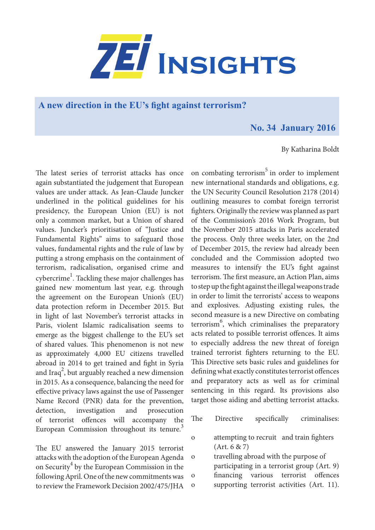

**A new direction in the EU's fight against terrorism?**

## **No. 34 January 2016**

## By Katharina Boldt

The latest series of terrorist attacks has once again substantiated the judgement that European values are under attack. As Jean-Claude Juncker underlined in the political guidelines for his presidency, the European Union (EU) is not only a common market, but a Union of shared values. Juncker's prioritisation of "Justice and Fundamental Rights" aims to safeguard those values, fundamental rights and the rule of law by putting a strong emphasis on the containment of terrorism, radicalisation, organised crime and cybercrime $^{\rm l}$ . Tackling these major challenges has gained new momentum last year, e.g. through the agreement on the European Union's (EU) data protection reform in December 2015. But in light of last November's terrorist attacks in Paris, violent Islamic radicalisation seems to emerge as the biggest challenge to the EU's set of shared values. This phenomenon is not new as approximately 4,000 EU citizens travelled abroad in 2014 to get trained and fight in Syria and Iraq<sup>2</sup>, but arguably reached a new dimension in 2015. As a consequence, balancing the need for effective privacy laws against the use of Passenger Name Record (PNR) data for the prevention, detection, investigation and prosecution of terrorist offences will accompany the European Commission throughout its tenure.<sup>3</sup>

The EU answered the January 2015 terrorist attacks with the adoption of the European Agenda on Security<sup>4</sup> by the European Commission in the following April. One of the new commitments was to review the Framework Decision 2002/475/JHA

on combating terrorism $5$  in order to implement new international standards and obligations, e.g. the UN Security Council Resolution 2178 (2014) outlining measures to combat foreign terrorist fighters. Originally the review was planned as part of the Commission's 2016 Work Program, but the November 2015 attacks in Paris accelerated the process. Only three weeks later, on the 2nd of December 2015, the review had already been concluded and the Commission adopted two measures to intensify the EU's fight against terrorism. The first measure, an Action Plan, aims to step up the fight against the illegal weapons trade in order to limit the terrorists' access to weapons and explosives. Adjusting existing rules, the second measure is a new Directive on combating terrorism<sup>6</sup>, which criminalises the preparatory acts related to possible terrorist offences. It aims to especially address the new threat of foreign trained terrorist fighters returning to the EU. This Directive sets basic rules and guidelines for defining what exactly constitutes terrorist offences and preparatory acts as well as for criminal sentencing in this regard. Its provisions also target those aiding and abetting terrorist attacks.

- The Directive specifically criminalises:
- o attempting to recruit and train fighters (Art. 6 & 7)

o travelling abroad with the purpose of participating in a terrorist group (Art. 9) o financing various terrorist offences o supporting terrorist activities (Art. 11).